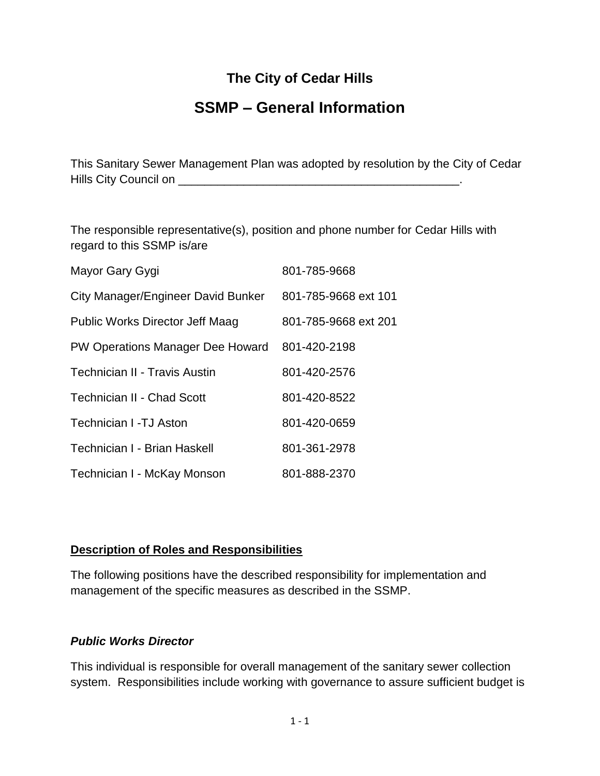## **The City of Cedar Hills**

# **SSMP – General Information**

This Sanitary Sewer Management Plan was adopted by resolution by the City of Cedar Hills City Council on \_\_\_\_\_\_\_\_\_\_\_\_\_\_\_\_\_\_\_\_\_\_\_\_\_\_\_\_\_\_\_\_\_\_\_\_\_\_\_\_\_\_\_.

The responsible representative(s), position and phone number for Cedar Hills with regard to this SSMP is/are

| Mayor Gary Gygi                        | 801-785-9668         |
|----------------------------------------|----------------------|
| City Manager/Engineer David Bunker     | 801-785-9668 ext 101 |
| <b>Public Works Director Jeff Maag</b> | 801-785-9668 ext 201 |
| PW Operations Manager Dee Howard       | 801-420-2198         |
| Technician II - Travis Austin          | 801-420-2576         |
| <b>Technician II - Chad Scott</b>      | 801-420-8522         |
| <b>Technician I -TJ Aston</b>          | 801-420-0659         |
| Technician I - Brian Haskell           | 801-361-2978         |
| Technician I - McKay Monson            | 801-888-2370         |

#### **Description of Roles and Responsibilities**

The following positions have the described responsibility for implementation and management of the specific measures as described in the SSMP.

#### *Public Works Director*

This individual is responsible for overall management of the sanitary sewer collection system. Responsibilities include working with governance to assure sufficient budget is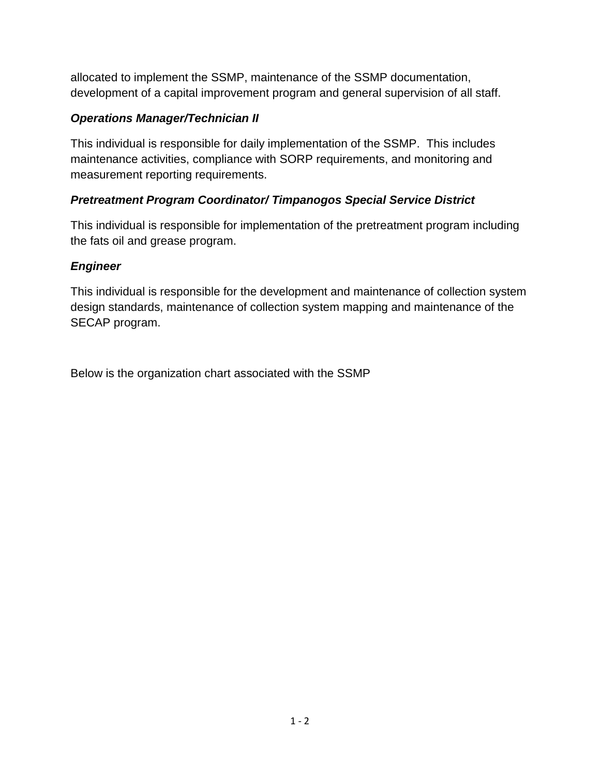allocated to implement the SSMP, maintenance of the SSMP documentation, development of a capital improvement program and general supervision of all staff.

## *Operations Manager/Technician II*

This individual is responsible for daily implementation of the SSMP. This includes maintenance activities, compliance with SORP requirements, and monitoring and measurement reporting requirements.

## *Pretreatment Program Coordinator/ Timpanogos Special Service District*

This individual is responsible for implementation of the pretreatment program including the fats oil and grease program.

## *Engineer*

This individual is responsible for the development and maintenance of collection system design standards, maintenance of collection system mapping and maintenance of the SECAP program.

Below is the organization chart associated with the SSMP